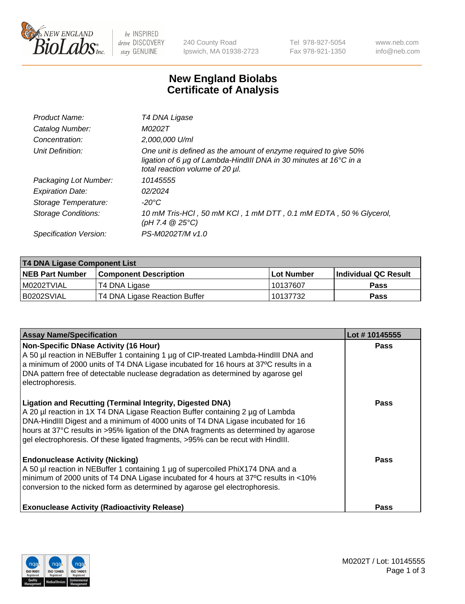

 $be$  INSPIRED drive DISCOVERY stay GENUINE

240 County Road Ipswich, MA 01938-2723 Tel 978-927-5054 Fax 978-921-1350 www.neb.com info@neb.com

## **New England Biolabs Certificate of Analysis**

| Product Name:           | T4 DNA Ligase                                                                                                                                                            |
|-------------------------|--------------------------------------------------------------------------------------------------------------------------------------------------------------------------|
| Catalog Number:         | M0202T                                                                                                                                                                   |
| Concentration:          | 2,000,000 U/ml                                                                                                                                                           |
| Unit Definition:        | One unit is defined as the amount of enzyme required to give 50%<br>ligation of 6 µg of Lambda-HindIII DNA in 30 minutes at 16°C in a<br>total reaction volume of 20 µl. |
| Packaging Lot Number:   | 10145555                                                                                                                                                                 |
| <b>Expiration Date:</b> | 02/2024                                                                                                                                                                  |
| Storage Temperature:    | $-20^{\circ}$ C                                                                                                                                                          |
| Storage Conditions:     | 10 mM Tris-HCl, 50 mM KCl, 1 mM DTT, 0.1 mM EDTA, 50 % Glycerol,<br>$(pH 7.4 \ @ 25^{\circ}C)$                                                                           |
| Specification Version:  | PS-M0202T/M v1.0                                                                                                                                                         |

| <b>T4 DNA Ligase Component List</b> |                               |             |                       |  |
|-------------------------------------|-------------------------------|-------------|-----------------------|--|
| <b>NEB Part Number</b>              | <b>Component Description</b>  | ⊺Lot Number | ∣Individual QC Result |  |
| I M0202TVIAL                        | T4 DNA Ligase                 | 10137607    | <b>Pass</b>           |  |
| B0202SVIAL                          | T4 DNA Ligase Reaction Buffer | 10137732    | <b>Pass</b>           |  |

| <b>Assay Name/Specification</b>                                                                                                                                                                                                                                                                                                                                                                                    | Lot #10145555 |
|--------------------------------------------------------------------------------------------------------------------------------------------------------------------------------------------------------------------------------------------------------------------------------------------------------------------------------------------------------------------------------------------------------------------|---------------|
| <b>Non-Specific DNase Activity (16 Hour)</b><br>A 50 µl reaction in NEBuffer 1 containing 1 µg of CIP-treated Lambda-HindIII DNA and<br>a minimum of 2000 units of T4 DNA Ligase incubated for 16 hours at 37°C results in a<br>DNA pattern free of detectable nuclease degradation as determined by agarose gel<br>electrophoresis.                                                                               | <b>Pass</b>   |
| <b>Ligation and Recutting (Terminal Integrity, Digested DNA)</b><br>A 20 µl reaction in 1X T4 DNA Ligase Reaction Buffer containing 2 µg of Lambda<br>DNA-HindIII Digest and a minimum of 4000 units of T4 DNA Ligase incubated for 16<br>hours at 37°C results in >95% ligation of the DNA fragments as determined by agarose<br>gel electrophoresis. Of these ligated fragments, >95% can be recut with HindIII. | Pass          |
| <b>Endonuclease Activity (Nicking)</b><br>A 50 µl reaction in NEBuffer 1 containing 1 µg of supercoiled PhiX174 DNA and a<br>minimum of 2000 units of T4 DNA Ligase incubated for 4 hours at 37°C results in <10%<br>conversion to the nicked form as determined by agarose gel electrophoresis.                                                                                                                   | Pass          |
| <b>Exonuclease Activity (Radioactivity Release)</b>                                                                                                                                                                                                                                                                                                                                                                | Pass          |

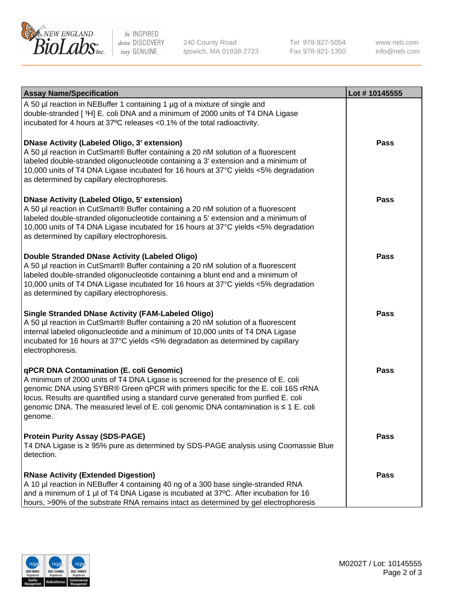

be INSPIRED drive DISCOVERY stay GENUINE

240 County Road Ipswich, MA 01938-2723 Tel 978-927-5054 Fax 978-921-1350

www.neb.com info@neb.com

| <b>Assay Name/Specification</b>                                                                                                                                                                                                                                                                                                                                                                             | Lot #10145555 |
|-------------------------------------------------------------------------------------------------------------------------------------------------------------------------------------------------------------------------------------------------------------------------------------------------------------------------------------------------------------------------------------------------------------|---------------|
| A 50 µl reaction in NEBuffer 1 containing 1 µg of a mixture of single and<br>double-stranded [3H] E. coli DNA and a minimum of 2000 units of T4 DNA Ligase<br>incubated for 4 hours at 37°C releases <0.1% of the total radioactivity.                                                                                                                                                                      |               |
| DNase Activity (Labeled Oligo, 3' extension)<br>A 50 µl reaction in CutSmart® Buffer containing a 20 nM solution of a fluorescent<br>labeled double-stranded oligonucleotide containing a 3' extension and a minimum of<br>10,000 units of T4 DNA Ligase incubated for 16 hours at 37°C yields <5% degradation<br>as determined by capillary electrophoresis.                                               | <b>Pass</b>   |
| <b>DNase Activity (Labeled Oligo, 5' extension)</b><br>A 50 µl reaction in CutSmart® Buffer containing a 20 nM solution of a fluorescent<br>labeled double-stranded oligonucleotide containing a 5' extension and a minimum of<br>10,000 units of T4 DNA Ligase incubated for 16 hours at 37°C yields <5% degradation<br>as determined by capillary electrophoresis.                                        | <b>Pass</b>   |
| Double Stranded DNase Activity (Labeled Oligo)<br>A 50 µl reaction in CutSmart® Buffer containing a 20 nM solution of a fluorescent<br>labeled double-stranded oligonucleotide containing a blunt end and a minimum of<br>10,000 units of T4 DNA Ligase incubated for 16 hours at 37°C yields <5% degradation<br>as determined by capillary electrophoresis.                                                | <b>Pass</b>   |
| <b>Single Stranded DNase Activity (FAM-Labeled Oligo)</b><br>A 50 µl reaction in CutSmart® Buffer containing a 20 nM solution of a fluorescent<br>internal labeled oligonucleotide and a minimum of 10,000 units of T4 DNA Ligase<br>incubated for 16 hours at 37°C yields <5% degradation as determined by capillary<br>electrophoresis.                                                                   | <b>Pass</b>   |
| qPCR DNA Contamination (E. coli Genomic)<br>A minimum of 2000 units of T4 DNA Ligase is screened for the presence of E. coli<br>genomic DNA using SYBR® Green qPCR with primers specific for the E. coli 16S rRNA<br>locus. Results are quantified using a standard curve generated from purified E. coli<br>genomic DNA. The measured level of E. coli genomic DNA contamination is ≤ 1 E. coli<br>genome. | Pass          |
| <b>Protein Purity Assay (SDS-PAGE)</b><br>T4 DNA Ligase is ≥ 95% pure as determined by SDS-PAGE analysis using Coomassie Blue<br>detection.                                                                                                                                                                                                                                                                 | <b>Pass</b>   |
| <b>RNase Activity (Extended Digestion)</b><br>A 10 µl reaction in NEBuffer 4 containing 40 ng of a 300 base single-stranded RNA<br>and a minimum of 1 µl of T4 DNA Ligase is incubated at 37°C. After incubation for 16<br>hours, >90% of the substrate RNA remains intact as determined by gel electrophoresis                                                                                             | <b>Pass</b>   |